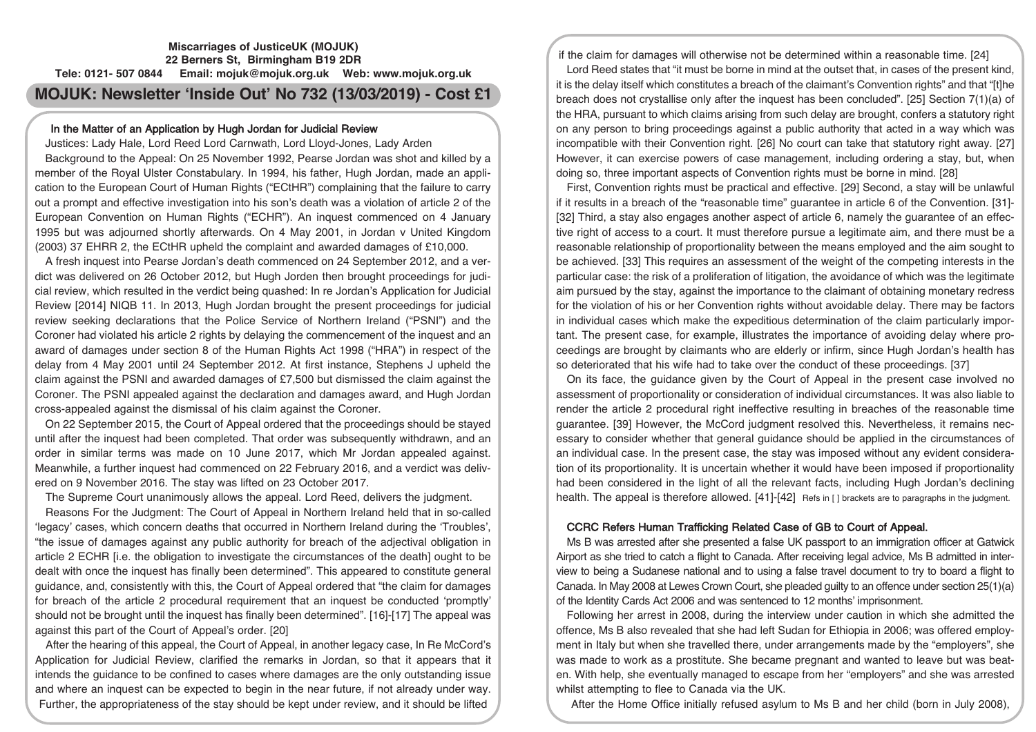# **Miscarriages of JusticeUK (MOJUK) 22 Berners St, Birmingham B19 2DR Tele: 0121- 507 0844 Email: mojuk@mojuk.org.uk Web: www.mojuk.org.uk MOJUK: Newsletter 'Inside Out' No 732 (13/03/2019) - Cost £1**

# In the Matter of an Application by Hugh Jordan for Judicial Review

Justices: Lady Hale, Lord Reed Lord Carnwath, Lord Lloyd-Jones, Lady Arden

Background to the Appeal: On 25 November 1992, Pearse Jordan was shot and killed by a member of the Royal Ulster Constabulary. In 1994, his father, Hugh Jordan, made an application to the European Court of Human Rights ("ECtHR") complaining that the failure to carry out a prompt and effective investigation into his son's death was a violation of article 2 of the European Convention on Human Rights ("ECHR"). An inquest commenced on 4 January 1995 but was adjourned shortly afterwards. On 4 May 2001, in Jordan v United Kingdom (2003) 37 EHRR 2, the ECtHR upheld the complaint and awarded damages of £10,000.

A fresh inquest into Pearse Jordan's death commenced on 24 September 2012, and a verdict was delivered on 26 October 2012, but Hugh Jorden then brought proceedings for judicial review, which resulted in the verdict being quashed: In re Jordan's Application for Judicial Review [2014] NIQB 11. In 2013, Hugh Jordan brought the present proceedings for judicial review seeking declarations that the Police Service of Northern Ireland ("PSNI") and the Coroner had violated his article 2 rights by delaying the commencement of the inquest and an award of damages under section 8 of the Human Rights Act 1998 ("HRA") in respect of the delay from 4 May 2001 until 24 September 2012. At first instance, Stephens J upheld the claim against the PSNI and awarded damages of £7,500 but dismissed the claim against the Coroner. The PSNI appealed against the declaration and damages award, and Hugh Jordan cross-appealed against the dismissal of his claim against the Coroner.

On 22 September 2015, the Court of Appeal ordered that the proceedings should be stayed until after the inquest had been completed. That order was subsequently withdrawn, and an order in similar terms was made on 10 June 2017, which Mr Jordan appealed against. Meanwhile, a further inquest had commenced on 22 February 2016, and a verdict was delivered on 9 November 2016. The stay was lifted on 23 October 2017.

The Supreme Court unanimously allows the appeal. Lord Reed, delivers the judgment.

Reasons For the Judgment: The Court of Appeal in Northern Ireland held that in so-called 'legacy' cases, which concern deaths that occurred in Northern Ireland during the 'Troubles', "the issue of damages against any public authority for breach of the adjectival obligation in article 2 ECHR [i.e. the obligation to investigate the circumstances of the death] ought to be dealt with once the inquest has finally been determined". This appeared to constitute general guidance, and, consistently with this, the Court of Appeal ordered that "the claim for damages for breach of the article 2 procedural requirement that an inquest be conducted 'promptly' should not be brought until the inquest has finally been determined". [16]-[17] The appeal was against this part of the Court of Appeal's order. [20]

After the hearing of this appeal, the Court of Appeal, in another legacy case, In Re McCord's Application for Judicial Review, clarified the remarks in Jordan, so that it appears that it intends the guidance to be confined to cases where damages are the only outstanding issue and where an inquest can be expected to begin in the near future, if not already under way. Further, the appropriateness of the stay should be kept under review, and it should be lifted

if the claim for damages will otherwise not be determined within a reasonable time. [24] Lord Reed states that "it must be borne in mind at the outset that, in cases of the present kind, it is the delay itself which constitutes a breach of the claimant's Convention rights" and that "[t]he breach does not crystallise only after the inquest has been concluded". [25] Section 7(1)(a) of the HRA, pursuant to which claims arising from such delay are brought, confers a statutory right on any person to bring proceedings against a public authority that acted in a way which was incompatible with their Convention right. [26] No court can take that statutory right away. [27] However, it can exercise powers of case management, including ordering a stay, but, when doing so, three important aspects of Convention rights must be borne in mind. [28]

First, Convention rights must be practical and effective. [29] Second, a stay will be unlawful if it results in a breach of the "reasonable time" guarantee in article 6 of the Convention. [31]- [32] Third, a stay also engages another aspect of article 6, namely the guarantee of an effective right of access to a court. It must therefore pursue a legitimate aim, and there must be a reasonable relationship of proportionality between the means employed and the aim sought to be achieved. [33] This requires an assessment of the weight of the competing interests in the particular case: the risk of a proliferation of litigation, the avoidance of which was the legitimate aim pursued by the stay, against the importance to the claimant of obtaining monetary redress for the violation of his or her Convention rights without avoidable delay. There may be factors in individual cases which make the expeditious determination of the claim particularly important. The present case, for example, illustrates the importance of avoiding delay where proceedings are brought by claimants who are elderly or infirm, since Hugh Jordan's health has so deteriorated that his wife had to take over the conduct of these proceedings. [37]

On its face, the guidance given by the Court of Appeal in the present case involved no assessment of proportionality or consideration of individual circumstances. It was also liable to render the article 2 procedural right ineffective resulting in breaches of the reasonable time guarantee. [39] However, the McCord judgment resolved this. Nevertheless, it remains necessary to consider whether that general guidance should be applied in the circumstances of an individual case. In the present case, the stay was imposed without any evident consideration of its proportionality. It is uncertain whether it would have been imposed if proportionality had been considered in the light of all the relevant facts, including Hugh Jordan's declining health. The appeal is therefore allowed. [41]-[42] Refs in [] brackets are to paragraphs in the judgment.

## CCRC Refers Human Trafficking Related Case of GB to Court of Appeal.

Ms B was arrested after she presented a false UK passport to an immigration officer at Gatwick Airport as she tried to catch a flight to Canada. After receiving legal advice, Ms B admitted in interview to being a Sudanese national and to using a false travel document to try to board a flight to Canada. In May 2008 at Lewes Crown Court, she pleaded guilty to an offence under section 25(1)(a) of the Identity Cards Act 2006 and was sentenced to 12 months' imprisonment.

Following her arrest in 2008, during the interview under caution in which she admitted the offence, Ms B also revealed that she had left Sudan for Ethiopia in 2006; was offered employment in Italy but when she travelled there, under arrangements made by the "employers", she was made to work as a prostitute. She became pregnant and wanted to leave but was beaten. With help, she eventually managed to escape from her "employers" and she was arrested whilst attempting to flee to Canada via the UK.

After the Home Office initially refused asylum to Ms B and her child (born in July 2008),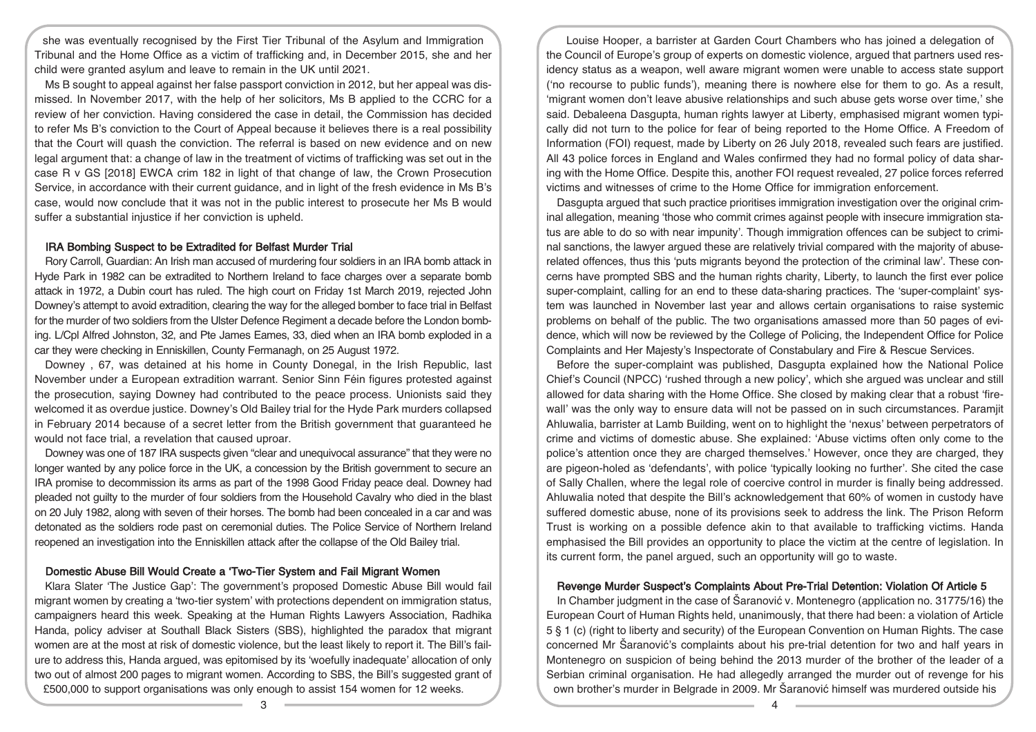she was eventually recognised by the First Tier Tribunal of the Asylum and Immigration Tribunal and the Home Office as a victim of trafficking and, in December 2015, she and her child were granted asylum and leave to remain in the UK until 2021.

Ms B sought to appeal against her false passport conviction in 2012, but her appeal was dismissed. In November 2017, with the help of her solicitors, Ms B applied to the CCRC for a review of her conviction. Having considered the case in detail, the Commission has decided to refer Ms B's conviction to the Court of Appeal because it believes there is a real possibility that the Court will quash the conviction. The referral is based on new evidence and on new legal argument that: a change of law in the treatment of victims of trafficking was set out in the case R v GS [2018] EWCA crim 182 in light of that change of law, the Crown Prosecution Service, in accordance with their current guidance, and in light of the fresh evidence in Ms B's case, would now conclude that it was not in the public interest to prosecute her Ms B would suffer a substantial injustice if her conviction is upheld.

#### IRA Bombing Suspect to be Extradited for Belfast Murder Trial

Rory Carroll, Guardian: An Irish man accused of murdering four soldiers in an IRA bomb attack in Hyde Park in 1982 can be extradited to Northern Ireland to face charges over a separate bomb attack in 1972, a Dubin court has ruled. The high court on Friday 1st March 2019, rejected John Downey's attempt to avoid extradition, clearing the way for the alleged bomber to face trial in Belfast for the murder of two soldiers from the Ulster Defence Regiment a decade before the London bombing. L/Cpl Alfred Johnston, 32, and Pte James Eames, 33, died when an IRA bomb exploded in a car they were checking in Enniskillen, County Fermanagh, on 25 August 1972.

Downey , 67, was detained at his home in County Donegal, in the Irish Republic, last November under a European extradition warrant. Senior Sinn Féin figures protested against the prosecution, saying Downey had contributed to the peace process. Unionists said they welcomed it as overdue justice. Downey's Old Bailey trial for the Hyde Park murders collapsed in February 2014 because of a secret letter from the British government that guaranteed he would not face trial, a revelation that caused uproar.

Downey was one of 187 IRA suspects given "clear and unequivocal assurance" that they were no longer wanted by any police force in the UK, a concession by the British government to secure an IRA promise to decommission its arms as part of the 1998 Good Friday peace deal. Downey had pleaded not guilty to the murder of four soldiers from the Household Cavalry who died in the blast on 20 July 1982, along with seven of their horses. The bomb had been concealed in a car and was detonated as the soldiers rode past on ceremonial duties. The Police Service of Northern Ireland reopened an investigation into the Enniskillen attack after the collapse of the Old Bailey trial.

## Domestic Abuse Bill Would Create a 'Two-Tier System and Fail Migrant Women

Klara Slater 'The Justice Gap': The government's proposed Domestic Abuse Bill would fail migrant women by creating a 'two-tier system' with protections dependent on immigration status, campaigners heard this week. Speaking at the Human Rights Lawyers Association, Radhika Handa, policy adviser at Southall Black Sisters (SBS), highlighted the paradox that migrant women are at the most at risk of domestic violence, but the least likely to report it. The Bill's failure to address this, Handa argued, was epitomised by its 'woefully inadequate' allocation of only two out of almost 200 pages to migrant women. According to SBS, the Bill's suggested grant of £500,000 to support organisations was only enough to assist 154 women for 12 weeks.

Louise Hooper, a barrister at Garden Court Chambers who has joined a delegation of the Council of Europe's group of experts on domestic violence, argued that partners used residency status as a weapon, well aware migrant women were unable to access state support ('no recourse to public funds'), meaning there is nowhere else for them to go. As a result, 'migrant women don't leave abusive relationships and such abuse gets worse over time,' she said. Debaleena Dasgupta, human rights lawyer at Liberty, emphasised migrant women typically did not turn to the police for fear of being reported to the Home Office. A Freedom of Information (FOI) request, made by Liberty on 26 July 2018, revealed such fears are justified. All 43 police forces in England and Wales confirmed they had no formal policy of data sharing with the Home Office. Despite this, another FOI request revealed, 27 police forces referred victims and witnesses of crime to the Home Office for immigration enforcement.

Dasgupta argued that such practice prioritises immigration investigation over the original criminal allegation, meaning 'those who commit crimes against people with insecure immigration status are able to do so with near impunity'. Though immigration offences can be subject to criminal sanctions, the lawyer argued these are relatively trivial compared with the majority of abuserelated offences, thus this 'puts migrants beyond the protection of the criminal law'. These concerns have prompted SBS and the human rights charity, Liberty, to launch the first ever police super-complaint, calling for an end to these data-sharing practices. The 'super-complaint' system was launched in November last year and allows certain organisations to raise systemic problems on behalf of the public. The two organisations amassed more than 50 pages of evidence, which will now be reviewed by the College of Policing, the Independent Office for Police Complaints and Her Majesty's Inspectorate of Constabulary and Fire & Rescue Services.

Before the super-complaint was published, Dasgupta explained how the National Police Chief's Council (NPCC) 'rushed through a new policy', which she argued was unclear and still allowed for data sharing with the Home Office. She closed by making clear that a robust 'firewall' was the only way to ensure data will not be passed on in such circumstances. Paramjit Ahluwalia, barrister at Lamb Building, went on to highlight the 'nexus' between perpetrators of crime and victims of domestic abuse. She explained: 'Abuse victims often only come to the police's attention once they are charged themselves.' However, once they are charged, they are pigeon-holed as 'defendants', with police 'typically looking no further'. She cited the case of Sally Challen, where the legal role of coercive control in murder is finally being addressed. Ahluwalia noted that despite the Bill's acknowledgement that 60% of women in custody have suffered domestic abuse, none of its provisions seek to address the link. The Prison Reform Trust is working on a possible defence akin to that available to trafficking victims. Handa emphasised the Bill provides an opportunity to place the victim at the centre of legislation. In its current form, the panel argued, such an opportunity will go to waste.

## Revenge Murder Suspect's Complaints About Pre-Trial Detention: Violation Of Article 5

In Chamber judgment in the case of Šaranović v. Montenegro (application no. 31775/16) the European Court of Human Rights held, unanimously, that there had been: a violation of Article 5 § 1 (c) (right to liberty and security) of the European Convention on Human Rights. The case concerned Mr Šaranović's complaints about his pre-trial detention for two and half years in Montenegro on suspicion of being behind the 2013 murder of the brother of the leader of a Serbian criminal organisation. He had allegedly arranged the murder out of revenge for his own brother's murder in Belgrade in 2009. Mr Šaranović himself was murdered outside his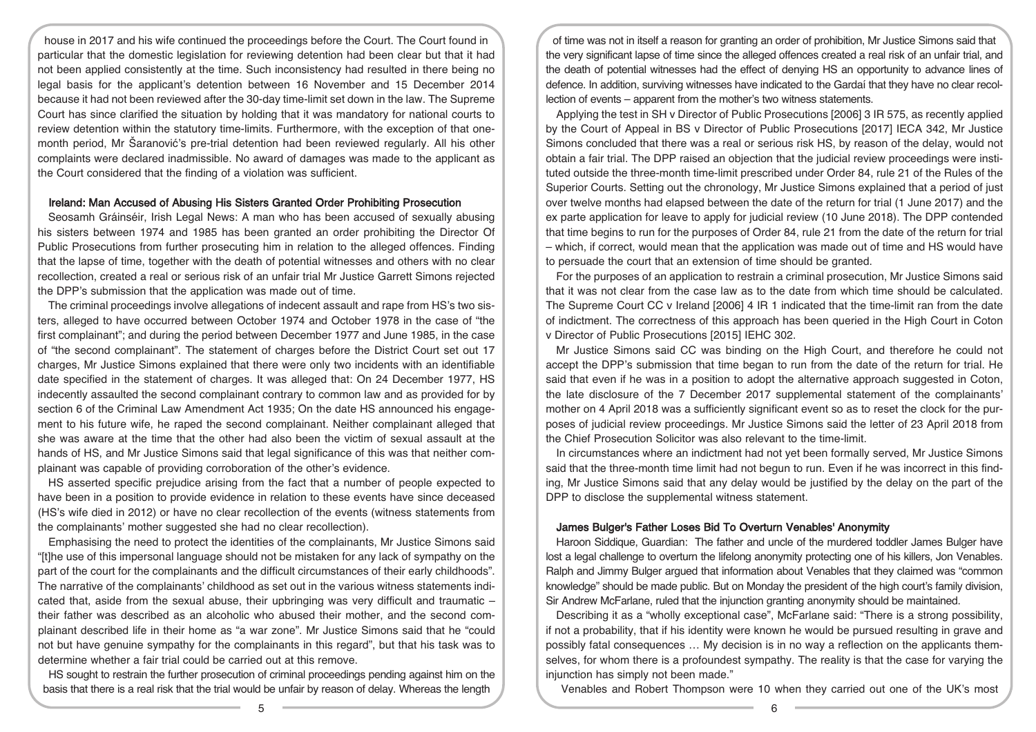house in 2017 and his wife continued the proceedings before the Court. The Court found in particular that the domestic legislation for reviewing detention had been clear but that it had not been applied consistently at the time. Such inconsistency had resulted in there being no legal basis for the applicant's detention between 16 November and 15 December 2014 because it had not been reviewed after the 30-day time-limit set down in the law. The Supreme Court has since clarified the situation by holding that it was mandatory for national courts to review detention within the statutory time-limits. Furthermore, with the exception of that onemonth period, Mr Šaranović's pre-trial detention had been reviewed regularly. All his other complaints were declared inadmissible. No award of damages was made to the applicant as the Court considered that the finding of a violation was sufficient.

## Ireland: Man Accused of Abusing His Sisters Granted Order Prohibiting Prosecution

Seosamh Gráinséir, Irish Legal News: A man who has been accused of sexually abusing his sisters between 1974 and 1985 has been granted an order prohibiting the Director Of Public Prosecutions from further prosecuting him in relation to the alleged offences. Finding that the lapse of time, together with the death of potential witnesses and others with no clear recollection, created a real or serious risk of an unfair trial Mr Justice Garrett Simons rejected the DPP's submission that the application was made out of time.

The criminal proceedings involve allegations of indecent assault and rape from HS's two sisters, alleged to have occurred between October 1974 and October 1978 in the case of "the first complainant"; and during the period between December 1977 and June 1985, in the case of "the second complainant". The statement of charges before the District Court set out 17 charges, Mr Justice Simons explained that there were only two incidents with an identifiable date specified in the statement of charges. It was alleged that: On 24 December 1977, HS indecently assaulted the second complainant contrary to common law and as provided for by section 6 of the Criminal Law Amendment Act 1935; On the date HS announced his engagement to his future wife, he raped the second complainant. Neither complainant alleged that she was aware at the time that the other had also been the victim of sexual assault at the hands of HS, and Mr Justice Simons said that legal significance of this was that neither complainant was capable of providing corroboration of the other's evidence.

HS asserted specific prejudice arising from the fact that a number of people expected to have been in a position to provide evidence in relation to these events have since deceased (HS's wife died in 2012) or have no clear recollection of the events (witness statements from the complainants' mother suggested she had no clear recollection).

Emphasising the need to protect the identities of the complainants, Mr Justice Simons said "[t]he use of this impersonal language should not be mistaken for any lack of sympathy on the part of the court for the complainants and the difficult circumstances of their early childhoods". The narrative of the complainants' childhood as set out in the various witness statements indicated that, aside from the sexual abuse, their upbringing was very difficult and traumatic – their father was described as an alcoholic who abused their mother, and the second complainant described life in their home as "a war zone". Mr Justice Simons said that he "could not but have genuine sympathy for the complainants in this regard", but that his task was to determine whether a fair trial could be carried out at this remove.

HS sought to restrain the further prosecution of criminal proceedings pending against him on the basis that there is a real risk that the trial would be unfair by reason of delay. Whereas the length

of time was not in itself a reason for granting an order of prohibition, Mr Justice Simons said that the very significant lapse of time since the alleged offences created a real risk of an unfair trial, and the death of potential witnesses had the effect of denying HS an opportunity to advance lines of defence. In addition, surviving witnesses have indicated to the Gardaí that they have no clear recollection of events – apparent from the mother's two witness statements.

Applying the test in SH v Director of Public Prosecutions [2006] 3 IR 575, as recently applied by the Court of Appeal in BS v Director of Public Prosecutions [2017] IECA 342, Mr Justice Simons concluded that there was a real or serious risk HS, by reason of the delay, would not obtain a fair trial. The DPP raised an objection that the judicial review proceedings were instituted outside the three-month time-limit prescribed under Order 84, rule 21 of the Rules of the Superior Courts. Setting out the chronology, Mr Justice Simons explained that a period of just over twelve months had elapsed between the date of the return for trial (1 June 2017) and the ex parte application for leave to apply for judicial review (10 June 2018). The DPP contended that time begins to run for the purposes of Order 84, rule 21 from the date of the return for trial – which, if correct, would mean that the application was made out of time and HS would have to persuade the court that an extension of time should be granted.

For the purposes of an application to restrain a criminal prosecution, Mr Justice Simons said that it was not clear from the case law as to the date from which time should be calculated. The Supreme Court CC v Ireland [2006] 4 IR 1 indicated that the time-limit ran from the date of indictment. The correctness of this approach has been queried in the High Court in Coton v Director of Public Prosecutions [2015] IEHC 302.

Mr Justice Simons said CC was binding on the High Court, and therefore he could not accept the DPP's submission that time began to run from the date of the return for trial. He said that even if he was in a position to adopt the alternative approach suggested in Coton, the late disclosure of the 7 December 2017 supplemental statement of the complainants' mother on 4 April 2018 was a sufficiently significant event so as to reset the clock for the purposes of judicial review proceedings. Mr Justice Simons said the letter of 23 April 2018 from the Chief Prosecution Solicitor was also relevant to the time-limit.

In circumstances where an indictment had not yet been formally served, Mr Justice Simons said that the three-month time limit had not begun to run. Even if he was incorrect in this finding, Mr Justice Simons said that any delay would be justified by the delay on the part of the DPP to disclose the supplemental witness statement.

#### James Bulger's Father Loses Bid To Overturn Venables' Anonymity

Haroon Siddique, Guardian: The father and uncle of the murdered toddler James Bulger have lost a legal challenge to overturn the lifelong anonymity protecting one of his killers, Jon Venables. Ralph and Jimmy Bulger argued that information about Venables that they claimed was "common knowledge" should be made public. But on Monday the president of the high court's family division, Sir Andrew McFarlane, ruled that the injunction granting anonymity should be maintained.

Describing it as a "wholly exceptional case", McFarlane said: "There is a strong possibility, if not a probability, that if his identity were known he would be pursued resulting in grave and possibly fatal consequences … My decision is in no way a reflection on the applicants themselves, for whom there is a profoundest sympathy. The reality is that the case for varying the injunction has simply not been made."

Venables and Robert Thompson were 10 when they carried out one of the UK's most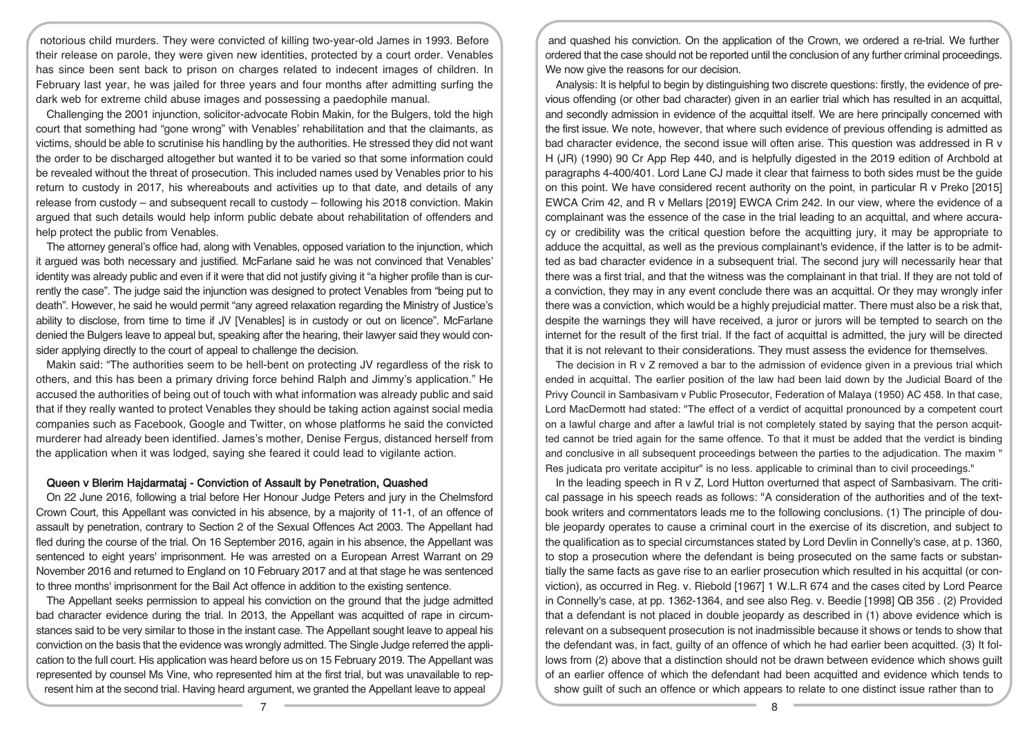notorious child murders. They were convicted of killing two-year-old James in 1993. Before their release on parole, they were given new identities, protected by a court order. Venables has since been sent back to prison on charges related to indecent images of children. In February last year, he was jailed for three years and four months after admitting surfing the dark web for extreme child abuse images and possessing a paedophile manual.

Challenging the 2001 injunction, solicitor-advocate Robin Makin, for the Bulgers, told the high court that something had "gone wrong" with Venables' rehabilitation and that the claimants, as victims, should be able to scrutinise his handling by the authorities. He stressed they did not want the order to be discharged altogether but wanted it to be varied so that some information could be revealed without the threat of prosecution. This included names used by Venables prior to his return to custody in 2017, his whereabouts and activities up to that date, and details of any release from custody – and subsequent recall to custody – following his 2018 conviction. Makin argued that such details would help inform public debate about rehabilitation of offenders and help protect the public from Venables.

The attorney general's office had, along with Venables, opposed variation to the injunction, which it argued was both necessary and justified. McFarlane said he was not convinced that Venables' identity was already public and even if it were that did not justify giving it "a higher profile than is currently the case". The judge said the injunction was designed to protect Venables from "being put to death". However, he said he would permit "any agreed relaxation regarding the Ministry of Justice's ability to disclose, from time to time if JV [Venables] is in custody or out on licence". McFarlane denied the Bulgers leave to appeal but, speaking after the hearing, their lawyer said they would consider applying directly to the court of appeal to challenge the decision.

Makin said: "The authorities seem to be hell-bent on protecting JV regardless of the risk to others, and this has been a primary driving force behind Ralph and Jimmy's application." He accused the authorities of being out of touch with what information was already public and said that if they really wanted to protect Venables they should be taking action against social media companies such as Facebook, Google and Twitter, on whose platforms he said the convicted murderer had already been identified. James's mother, Denise Fergus, distanced herself from the application when it was lodged, saying she feared it could lead to vigilante action.

## Queen v Blerim Hajdarmataj - Conviction of Assault by Penetration, Quashed

On 22 June 2016, following a trial before Her Honour Judge Peters and jury in the Chelmsford Crown Court, this Appellant was convicted in his absence, by a majority of 11-1, of an offence of assault by penetration, contrary to Section 2 of the Sexual Offences Act 2003. The Appellant had fled during the course of the trial. On 16 September 2016, again in his absence, the Appellant was sentenced to eight years' imprisonment. He was arrested on a European Arrest Warrant on 29 November 2016 and returned to England on 10 February 2017 and at that stage he was sentenced to three months' imprisonment for the Bail Act offence in addition to the existing sentence.

The Appellant seeks permission to appeal his conviction on the ground that the judge admitted bad character evidence during the trial. In 2013, the Appellant was acquitted of rape in circumstances said to be very similar to those in the instant case. The Appellant sought leave to appeal his conviction on the basis that the evidence was wrongly admitted. The Single Judge referred the application to the full court. His application was heard before us on 15 February 2019. The Appellant was represented by counsel Ms Vine, who represented him at the first trial, but was unavailable to represent him at the second trial. Having heard argument, we granted the Appellant leave to appeal

and quashed his conviction. On the application of the Crown, we ordered a re-trial. We further ordered that the case should not be reported until the conclusion of any further criminal proceedings. We now give the reasons for our decision.

Analysis: It is helpful to begin by distinguishing two discrete questions: firstly, the evidence of previous offending (or other bad character) given in an earlier trial which has resulted in an acquittal, and secondly admission in evidence of the acquittal itself. We are here principally concerned with the first issue. We note, however, that where such evidence of previous offending is admitted as bad character evidence, the second issue will often arise. This question was addressed in R v H (JR) (1990) 90 Cr App Rep 440, and is helpfully digested in the 2019 edition of Archbold at paragraphs 4-400/401. Lord Lane CJ made it clear that fairness to both sides must be the guide on this point. We have considered recent authority on the point, in particular R v Preko [2015] EWCA Crim 42, and R v Mellars [2019] EWCA Crim 242. In our view, where the evidence of a complainant was the essence of the case in the trial leading to an acquittal, and where accuracy or credibility was the critical question before the acquitting jury, it may be appropriate to adduce the acquittal, as well as the previous complainant's evidence, if the latter is to be admitted as bad character evidence in a subsequent trial. The second jury will necessarily hear that there was a first trial, and that the witness was the complainant in that trial. If they are not told of a conviction, they may in any event conclude there was an acquittal. Or they may wrongly infer there was a conviction, which would be a highly prejudicial matter. There must also be a risk that, despite the warnings they will have received, a juror or jurors will be tempted to search on the internet for the result of the first trial. If the fact of acquittal is admitted, the jury will be directed that it is not relevant to their considerations. They must assess the evidence for themselves.

The decision in R v Z removed a bar to the admission of evidence given in a previous trial which ended in acquittal. The earlier position of the law had been laid down by the Judicial Board of the Privy Council in Sambasivam v Public Prosecutor, Federation of Malaya (1950) AC 458. In that case, Lord MacDermott had stated: "The effect of a verdict of acquittal pronounced by a competent court on a lawful charge and after a lawful trial is not completely stated by saying that the person acquitted cannot be tried again for the same offence. To that it must be added that the verdict is binding and conclusive in all subsequent proceedings between the parties to the adjudication. The maxim " Res judicata pro veritate accipitur" is no less. applicable to criminal than to civil proceedings."

In the leading speech in R v Z, Lord Hutton overturned that aspect of Sambasivam. The critical passage in his speech reads as follows: "A consideration of the authorities and of the textbook writers and commentators leads me to the following conclusions. (1) The principle of double jeopardy operates to cause a criminal court in the exercise of its discretion, and subject to the qualification as to special circumstances stated by Lord Devlin in Connelly's case, at p. 1360, to stop a prosecution where the defendant is being prosecuted on the same facts or substantially the same facts as gave rise to an earlier prosecution which resulted in his acquittal (or conviction), as occurred in Reg. v. Riebold [1967] 1 W.L.R 674 and the cases cited by Lord Pearce in Connelly's case, at pp. 1362-1364, and see also Reg. v. Beedie [1998] QB 356 . (2) Provided that a defendant is not placed in double jeopardy as described in (1) above evidence which is relevant on a subsequent prosecution is not inadmissible because it shows or tends to show that the defendant was, in fact, guilty of an offence of which he had earlier been acquitted. (3) It follows from (2) above that a distinction should not be drawn between evidence which shows guilt of an earlier offence of which the defendant had been acquitted and evidence which tends to show guilt of such an offence or which appears to relate to one distinct issue rather than to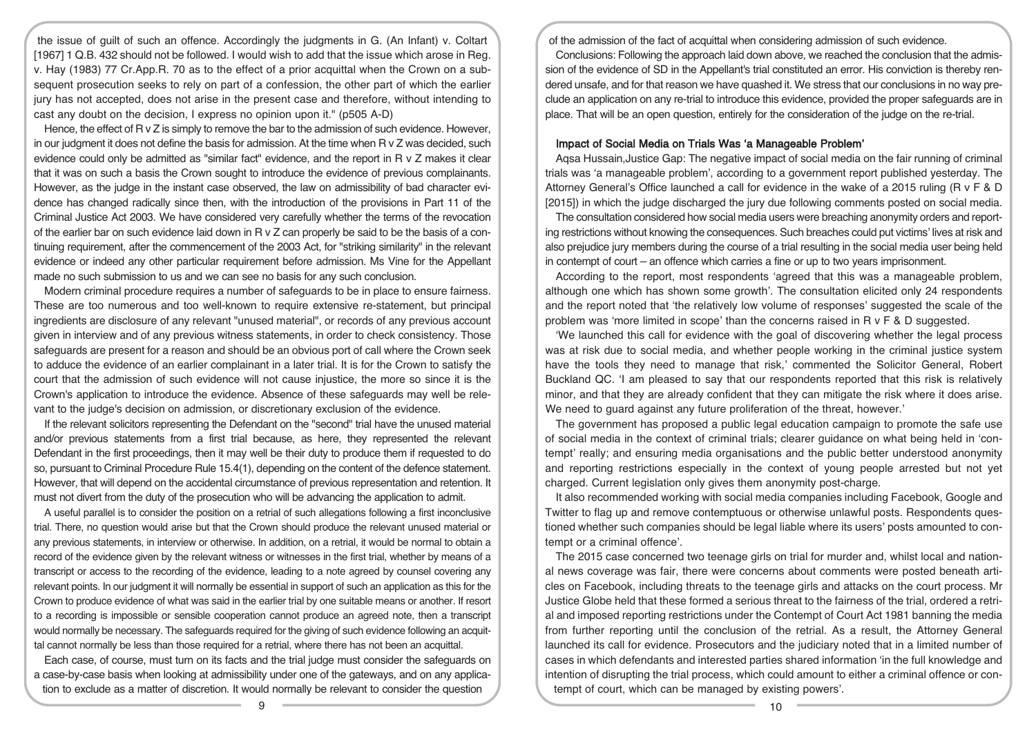the issue of guilt of such an offence. Accordingly the judgments in G. (An Infant) v. Coltart [1967] 1 Q.B. 432 should not be followed. I would wish to add that the issue which arose in Reg. v. Hay (1983) 77 Cr.App.R. 70 as to the effect of a prior acquittal when the Crown on a subsequent prosecution seeks to rely on part of a confession, the other part of which the earlier jury has not accepted, does not arise in the present case and therefore, without intending to cast any doubt on the decision, I express no opinion upon it." (p505 A-D)

Hence, the effect of R v Z is simply to remove the bar to the admission of such evidence. However, in our judgment it does not define the basis for admission. At the time when R v Z was decided, such evidence could only be admitted as "similar fact" evidence, and the report in R v Z makes it clear that it was on such a basis the Crown sought to introduce the evidence of previous complainants. However, as the judge in the instant case observed, the law on admissibility of bad character evidence has changed radically since then, with the introduction of the provisions in Part 11 of the Criminal Justice Act 2003. We have considered very carefully whether the terms of the revocation of the earlier bar on such evidence laid down in R v Z can properly be said to be the basis of a continuing requirement, after the commencement of the 2003 Act, for "striking similarity" in the relevant evidence or indeed any other particular requirement before admission. Ms Vine for the Appellant made no such submission to us and we can see no basis for any such conclusion.

Modern criminal procedure requires a number of safeguards to be in place to ensure fairness. These are too numerous and too well-known to require extensive re-statement, but principal ingredients are disclosure of any relevant "unused material", or records of any previous account given in interview and of any previous witness statements, in order to check consistency. Those safeguards are present for a reason and should be an obvious port of call where the Crown seek to adduce the evidence of an earlier complainant in a later trial. It is for the Crown to satisfy the court that the admission of such evidence will not cause injustice, the more so since it is the Crown's application to introduce the evidence. Absence of these safeguards may well be relevant to the judge's decision on admission, or discretionary exclusion of the evidence.

If the relevant solicitors representing the Defendant on the "second" trial have the unused material and/or previous statements from a first trial because, as here, they represented the relevant Defendant in the first proceedings, then it may well be their duty to produce them if requested to do so, pursuant to Criminal Procedure Rule 15.4(1), depending on the content of the defence statement. However, that will depend on the accidental circumstance of previous representation and retention. It must not divert from the duty of the prosecution who will be advancing the application to admit.

A useful parallel is to consider the position on a retrial of such allegations following a first inconclusive trial. There, no question would arise but that the Crown should produce the relevant unused material or any previous statements, in interview or otherwise. In addition, on a retrial, it would be normal to obtain a record of the evidence given by the relevant witness or witnesses in the first trial, whether by means of a transcript or access to the recording of the evidence, leading to a note agreed by counsel covering any relevant points. In our judgment it will normally be essential in support of such an application as this for the Crown to produce evidence of what was said in the earlier trial by one suitable means or another. If resort to a recording is impossible or sensible cooperation cannot produce an agreed note, then a transcript would normally be necessary. The safeguards required for the giving of such evidence following an acquittal cannot normally be less than those required for a retrial, where there has not been an acquittal.

Each case, of course, must turn on its facts and the trial judge must consider the safeguards on a case-by-case basis when looking at admissibility under one of the gateways, and on any application to exclude as a matter of discretion. It would normally be relevant to consider the question

of the admission of the fact of acquittal when considering admission of such evidence.

Conclusions: Following the approach laid down above, we reached the conclusion that the admission of the evidence of SD in the Appellant's trial constituted an error. His conviction is thereby rendered unsafe, and for that reason we have quashed it. We stress that our conclusions in no way preclude an application on any re-trial to introduce this evidence, provided the proper safeguards are in place. That will be an open question, entirely for the consideration of the judge on the re-trial.

# Impact of Social Media on Trials Was 'a Manageable Problem'

Aqsa Hussain,Justice Gap: The negative impact of social media on the fair running of criminal trials was 'a manageable problem', according to a government report published yesterday. The Attorney General's Office launched a call for evidence in the wake of a 2015 ruling (R v F & D [2015]) in which the judge discharged the jury due following comments posted on social media.

The consultation considered how social media users were breaching anonymity orders and reporting restrictions without knowing the consequences. Such breaches could put victims' lives at risk and also prejudice jury members during the course of a trial resulting in the social media user being held in contempt of court – an offence which carries a fine or up to two years imprisonment.

According to the report, most respondents 'agreed that this was a manageable problem, although one which has shown some growth'. The consultation elicited only 24 respondents and the report noted that 'the relatively low volume of responses' suggested the scale of the problem was 'more limited in scope' than the concerns raised in R v F & D suggested.

'We launched this call for evidence with the goal of discovering whether the legal process was at risk due to social media, and whether people working in the criminal justice system have the tools they need to manage that risk,' commented the Solicitor General, Robert Buckland QC. 'I am pleased to say that our respondents reported that this risk is relatively minor, and that they are already confident that they can mitigate the risk where it does arise. We need to quard against any future proliferation of the threat, however.'

The government has proposed a public legal education campaign to promote the safe use of social media in the context of criminal trials; clearer guidance on what being held in 'contempt' really; and ensuring media organisations and the public better understood anonymity and reporting restrictions especially in the context of young people arrested but not yet charged. Current legislation only gives them anonymity post-charge.

It also recommended working with social media companies including Facebook, Google and Twitter to flag up and remove contemptuous or otherwise unlawful posts. Respondents questioned whether such companies should be legal liable where its users' posts amounted to contempt or a criminal offence'.

The 2015 case concerned two teenage girls on trial for murder and, whilst local and national news coverage was fair, there were concerns about comments were posted beneath articles on Facebook, including threats to the teenage girls and attacks on the court process. Mr Justice Globe held that these formed a serious threat to the fairness of the trial, ordered a retrial and imposed reporting restrictions under the Contempt of Court Act 1981 banning the media from further reporting until the conclusion of the retrial. As a result, the Attorney General launched its call for evidence. Prosecutors and the judiciary noted that in a limited number of cases in which defendants and interested parties shared information 'in the full knowledge and intention of disrupting the trial process, which could amount to either a criminal offence or contempt of court, which can be managed by existing powers'.